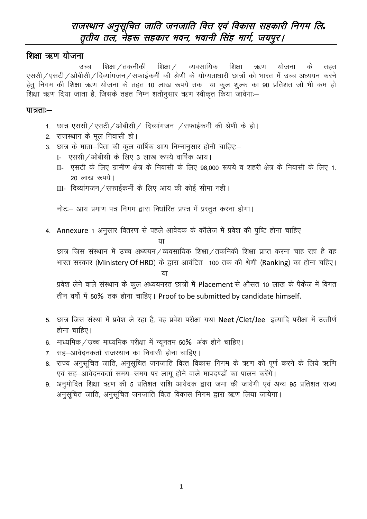## राजस्थान अनुसूचित जाति जनजाति वित्त एवं विकास सहकारी निगम लि. तृतीय तल, नेहरू सहकार भवन, भवानी सिंह मार्ग, जयपुर।

#### शिक्षा ऋण योजना

शिक्षा / तकनीकी शिक्षा / व्यवसायिक शिक्षा उच्च ऋण योजना के तहत एससी / एसटी / ओबीसी / दिव्यांगजन / सफाईकर्मी की श्रेणी के योग्यताधारी छात्रों को भारत में उच्च अध्ययन करने हेतु निगम की शिक्षा ऋण योजना के तहत 10 लाख रूपये तक या कुल शुल्क का 90 प्रतिशत जो भी कम हो शिक्षा ऋण दिया जाता है, जिसके तहत निम्न शर्तोनुसार ऋण स्वीकृत किया जावेगा:–

#### पात्रताः—

- 1. छात्र एससी / एसटी / ओबीसी / दिव्यांगजन / सफाईकर्मी की श्रेणी के हो।
- 2. राजस्थान के मूल निवासी हो।
- 3. छात्र के माता-पिता की कूल वार्षिक आय निम्नानूसार होनी चाहिए:-
	- I- एससी / ओबीसी के लिए 3 लाख रूपये वार्षिक आय।
	- II- एसटी के लिए ग्रामीण क्षेत्र के निवासी के लिए 98,000 रूपये व शहरी क्षेत्र के निवासी के लिए 1. 20 लाख रूपये।
	- III- दिव्यांगजन / सफाईकर्मी के लिए आय की कोई सीमा नही।

नोटः- आय प्रमाण पत्र निगम द्वारा निर्धारित प्रपत्र में प्रस्तुत करना होगा।

4. Annexure 1 अनुसार वितरण से पहले आवेदक के कॉलेज में प्रवेश की पुष्टि होना चाहिए

छात्र जिस संस्थान में उच्च अध्ययन/व्यवसायिक शिक्षा/तकनिकी शिक्षा प्राप्त करना चाह रहा है वह भारत सरकार (Ministery Of HRD) के द्वारा आवंटित 100 तक की श्रेणी (Ranking) का होना चहिए। या

प्रवेश लेने वाले संस्थान के कूल अध्ययनरत छात्रों में Placement से औसत 10 लाख के पैकेज में विगत तीन वर्षो में 50% तक होना चाहिए। Proof to be submitted by candidate himself.

- 5. छात्र जिस संस्था में प्रवेश ले रहा है, वह प्रवेश परीक्षा यथा Neet /Clet/Jee इत्यादि परीक्षा में उत्तीर्ण होना चाहिए।
- 6. माध्यमिक / उच्च माध्यमिक परीक्षा में न्यूनतम 50% अंक होने चाहिए।
- 7. सह-आवेदनकर्ता राजस्थान का निवासी होना चाहिए।
- 8. राज्य अनुसूचित जाति, अनुसूचित जनजाति वित्त विकास निगम के ऋण को पूर्ण करने के लिये ऋणि एवं सह-आवेदनकर्ता समय-समय पर लागू होने वाले मापदण्डों का पालन करेंगे।
- 9. अनुमोदित शिक्षा ऋण की 5 प्रतिशत राशि आवेदक द्वारा जमा की जावेगी एवं अन्य 95 प्रतिशत राज्य अनुसुचित जाति, अनुसुचित जनजाति वित्त विकास निगम द्वारा ऋण लिया जायेगा।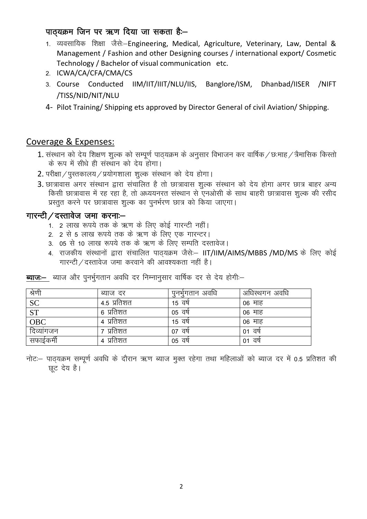### पाठ्यक्रम जिन पर ऋण दिया जा सकता है:-

- 1. व्यवसायिक शिक्षा जैसे:-Engineering, Medical, Agriculture, Veterinary, Law, Dental & Management / Fashion and other Designing courses / international export/ Cosmetic Technology / Bachelor of visual communication etc.
- 2. ICWA/CA/CFA/CMA/CS
- 3. Course Conducted IIM/IIT/IIIT/NLU/IIS, Banglore/ISM, Dhanbad/IISER /NIFT /TISS/NID/NIT/NLU
- 4- Pilot Training/ Shipping ets approved by Director General of civil Aviation/ Shipping.

### Coverage & Expenses:

- 1. संस्थान को देय शिक्षण शुल्क को सम्पूर्ण पाठ्यक्रम के अनुसार विभाजन कर वार्षिक / छःमाह / त्रैमासिक किस्तो के रूप में सीधे ही संस्थान को देय होगा।
- 2. परीक्षा / पस्तकालय / प्रयोगशाला शल्क संस्थान को देय होगा।
- 3. छात्रावास अगर संस्थान द्वारा संचालित है तो छात्रावास शुल्क संस्थान को देय होगा अगर छात्र बाहर अन्य किसी छात्रावास में रह रहा है. तो अध्ययनरत संस्थान से एनओसी के साथ बाहरी छात्रावास शल्क की रसीद प्रस्तुत करने पर छात्रावास शुल्क का पुनर्भरण छात्र को किया जाएगा।

#### गारन्टी / दस्तावेज जमा करनाः-

- .<br>1. 2 लाख रूपये तक के ऋण के लिए कोई गारन्टी नहीं।
- 2. 2 से 5 लाख रूपये तक के ऋण के लिए एक गारन्टर।
- 3. 05 से 10 लाख रूपये तक के ऋण के लिए सम्पति दस्तावेज।
- 4. राजकीय संस्थानों द्वारा संचालित पाठ्यक्रम जैसे :- IIT/IIM/AIMS/MBBS /MD/MS के लिए कोई गारन्टी / दस्तावेज जमा करवाने की आवश्यकता नहीं है।

| श्रेणी                 | ब्याज दर     | पुनभुगतान अवधि | अधिस्थगन अवधि |
|------------------------|--------------|----------------|---------------|
| <b>SC</b>              | 4.5 प्रतिशत  | 15 वर्ष        | 06 माह        |
| $\overline{\text{ST}}$ | ६ प्रतिशत    | 05 वष          | 06 माह        |
| <b>OBC</b>             | 4 प्रतिशत    | 15 वर्ष        | 06 माह        |
| दिव्यांगजन             | प्रतिशत      | वर्ष<br>07     | 01 वर्ष       |
| सफाईकमी                | प्रतिशत<br>4 | वर्ष<br>05     | 01 वर्ष       |

ब्याज:-- ब्याज और पुनर्भुगतान अवधि दर निम्नानुसार वार्षिक दर से देय होगी:--

नोट: पाठ्यक्रम सम्पूर्ण अवधि के दौरान ऋण ब्याज मुक्त रहेगा तथा महिलाओं को ब्याज दर में 0.5 प्रतिशत की छट देय है।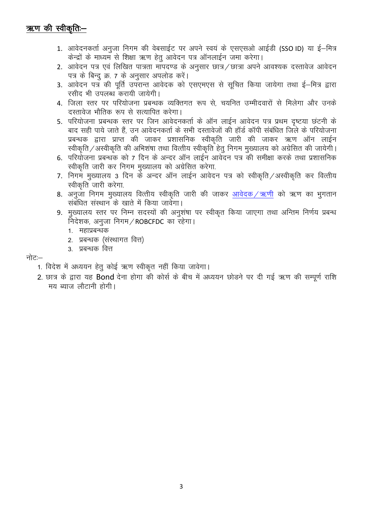# ऋण की स्वीकृति:-

- 1. आवेदनकर्ता अनजा निगम की वेबसाईट पर अपने स्वयं के एसएसओ आईडी (SSO ID) या ई-मित्र केन्द्रों के माध्यम से शिक्षा ऋण हेतु आवेदन पत्र ऑनलाईन जमा करेगा।
- 2. आवेदन पत्र एवं लिखित पात्रता मांपदण्ड के अनुसार छात्र / छात्रा अपने आवश्यक दस्तावेज आवेदन पत्र के बिन्दू क्र. 7 के अनुसार अपलोड करें।
- 3. आवेदन पत्र की पूर्ति उपरान्त आवेदक को एसएमएस से सूचित किया जायेगा तथा ई–मित्र द्वारा रसीद भी उपलब्ध करायी जायेगी।
- 4. जिला स्तर पर परियोजना प्रबन्धक व्यक्तिगत रूप से, चयनित उम्मीदवारों से मिलेगा और उनके दस्तावेज भौतिक रूप से सत्यापित करेगा।
- 5. परियोजना प्रबन्धक स्तर पर जिन आवेदनकर्ता के ऑन लाईन आवेदन पत्र प्रथम दृष्टया छटनी के बाद सही पाये जाते हैं, उन आवेदनकर्ता के सभी दस्तावेजों की हॉर्ड कॉपी संबंधित जिले के परियोजना प्रबन्धक द्वारा प्राप्त की जाकर प्रशासनिक स्वीकति जारी की जाकर ऋण ऑन लाईन स्वीकृति / अस्वीकृति की अभिशंषा तथा वित्तीय स्वीकृति हेतू निगम मुख्यालय को अग्रेसित की जायेगी।
- 6. परियोजना प्रबन्धक को 7 दिन के अन्दर ऑन लाईन आवेदन पत्र की समीक्षा करके तथा प्रशासनिक स्वीकृति जारी कर निगम मुख्यालय को अग्रेसित करेगा.
- 7. निगम मुख्यालय 3 दिन के अन्दर ऑन लाईन आवेदन पत्र को स्वीकृति /अस्वीकृति कर वित्तीय स्वीकृति जारी करेगा.
- 8. अनुजा निगम मुख्यालय वित्तीय स्वीकृति जारी की जाकर आवेदक /ऋणी को ऋण का भुगतान संबंधित संस्थान के खाते में किया जावेगा।
- 9. मुख्यालय स्तर पर निम्न सदस्यों की अनुशंषा पर स्वीकृत किया जाएगा तथा अन्तिम निर्णय प्रबन्ध निदेशक, अनुजा निगम / ROBCFDC का रहेगा।
	- 1. महाप्रबन्धक
	- 2. प्रबन्धक (संस्थागत वित्त)
	- 3. प्रबन्धक वित्त

#### नोट:—

- 1. विदेश में अध्ययन हेतू कोई ऋण स्वीकृत नहीं किया जावेगा।
- 2. छात्र के द्वारा यह Bond देना होगा की कोर्स के बीच में अध्ययन छोड़ने पर दी गई ऋण की सम्पूर्ण राशि मय ब्याज लौटानी होगी।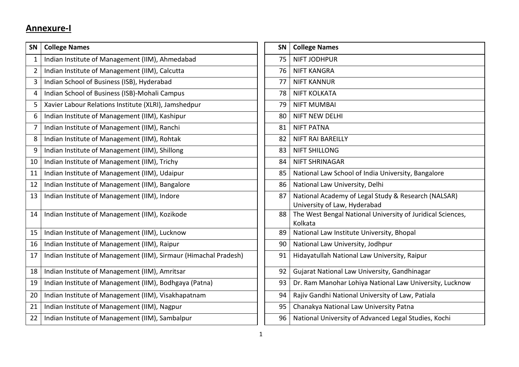# **Annexure-I**

| SN             | <b>College Names</b>                                             | SN | <b>College Names</b>                                                                |
|----------------|------------------------------------------------------------------|----|-------------------------------------------------------------------------------------|
| 1              | Indian Institute of Management (IIM), Ahmedabad                  | 75 | <b>NIFT JODHPUR</b>                                                                 |
| $\overline{2}$ | Indian Institute of Management (IIM), Calcutta                   | 76 | <b>NIFT KANGRA</b>                                                                  |
| 3              | Indian School of Business (ISB), Hyderabad                       | 77 | <b>NIFT KANNUR</b>                                                                  |
| 4              | Indian School of Business (ISB)-Mohali Campus                    | 78 | <b>NIFT KOLKATA</b>                                                                 |
| 5              | Xavier Labour Relations Institute (XLRI), Jamshedpur             | 79 | <b>NIFT MUMBAI</b>                                                                  |
| 6              | Indian Institute of Management (IIM), Kashipur                   | 80 | <b>NIFT NEW DELHI</b>                                                               |
| 7              | Indian Institute of Management (IIM), Ranchi                     | 81 | <b>NIFT PATNA</b>                                                                   |
| 8              | Indian Institute of Management (IIM), Rohtak                     | 82 | <b>NIFT RAI BAREILLY</b>                                                            |
| 9              | Indian Institute of Management (IIM), Shillong                   | 83 | <b>NIFT SHILLONG</b>                                                                |
| 10             | Indian Institute of Management (IIM), Trichy                     | 84 | <b>NIFT SHRINAGAR</b>                                                               |
| 11             | Indian Institute of Management (IIM), Udaipur                    | 85 | National Law School of India University, Bangalore                                  |
| 12             | Indian Institute of Management (IIM), Bangalore                  | 86 | National Law University, Delhi                                                      |
| 13             | Indian Institute of Management (IIM), Indore                     | 87 | National Academy of Legal Study & Research (NALSAR)<br>University of Law, Hyderabad |
| 14             | Indian Institute of Management (IIM), Kozikode                   | 88 | The West Bengal National University of Juridical Sciences,<br>Kolkata               |
| 15             | Indian Institute of Management (IIM), Lucknow                    | 89 | National Law Institute University, Bhopal                                           |
| 16             | Indian Institute of Management (IIM), Raipur                     | 90 | National Law University, Jodhpur                                                    |
| 17             | Indian Institute of Management (IIM), Sirmaur (Himachal Pradesh) | 91 | Hidayatullah National Law University, Raipur                                        |
| 18             | Indian Institute of Management (IIM), Amritsar                   | 92 | Gujarat National Law University, Gandhinagar                                        |
| 19             | Indian Institute of Management (IIM), Bodhgaya (Patna)           | 93 | Dr. Ram Manohar Lohiya National Law University, Lucknow                             |
| 20             | Indian Institute of Management (IIM), Visakhapatnam              | 94 | Rajiv Gandhi National University of Law, Patiala                                    |
| 21             | Indian Institute of Management (IIM), Nagpur                     | 95 | Chanakya National Law University Patna                                              |
| 22             | Indian Institute of Management (IIM), Sambalpur                  | 96 | National University of Advanced Legal Studies, Kochi                                |

| <b>SN</b> | <b>College Names</b>                                                  |
|-----------|-----------------------------------------------------------------------|
| 75        | <b>NIFT JODHPUR</b>                                                   |
| 76        | <b>NIFT KANGRA</b>                                                    |
| 77        | <b>NIFT KANNUR</b>                                                    |
| 78        | <b>NIFT KOLKATA</b>                                                   |
| 79        | <b>NIFT MUMBAI</b>                                                    |
| 80        | <b>NIFT NEW DELHI</b>                                                 |
| 81        | <b>NIFT PATNA</b>                                                     |
| 82        | <b>NIFT RAI BAREILLY</b>                                              |
| 83        | <b>NIFT SHILLONG</b>                                                  |
| 84        | <b>NIFT SHRINAGAR</b>                                                 |
| 85        | National Law School of India University, Bangalore                    |
| 86        | National Law University, Delhi                                        |
| 87        | National Academy of Legal Study & Research (NALSAR)                   |
|           | University of Law, Hyderabad                                          |
| 88        | The West Bengal National University of Juridical Sciences,<br>Kolkata |
| 89        | National Law Institute University, Bhopal                             |
| 90        | National Law University, Jodhpur                                      |
| 91        | Hidayatullah National Law University, Raipur                          |
| 92        | Gujarat National Law University, Gandhinagar                          |
| 93        | Dr. Ram Manohar Lohiya National Law University, Lucknow               |
| 94        | Rajiv Gandhi National University of Law, Patiala                      |
| 95        | Chanakya National Law University Patna                                |
| 96        | National University of Advanced Legal Studies, Kochi                  |
|           |                                                                       |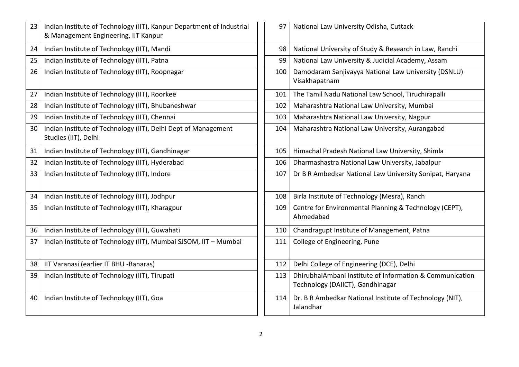| 23 | Indian Institute of Technology (IIT), Kanpur Department of Industrial<br>& Management Engineering, IIT Kanpur | 97  | National Law University Odisha, Cuttack                                                      |
|----|---------------------------------------------------------------------------------------------------------------|-----|----------------------------------------------------------------------------------------------|
| 24 | Indian Institute of Technology (IIT), Mandi                                                                   | 98  | National University of Study & Research in Law, Ranchi                                       |
| 25 | Indian Institute of Technology (IIT), Patna                                                                   | 99  | National Law University & Judicial Academy, Assam                                            |
| 26 | Indian Institute of Technology (IIT), Roopnagar                                                               | 100 | Damodaram Sanjivayya National Law University (DSNLU)<br>Visakhapatnam                        |
| 27 | Indian Institute of Technology (IIT), Roorkee                                                                 | 101 | The Tamil Nadu National Law School, Tiruchirapalli                                           |
| 28 | Indian Institute of Technology (IIT), Bhubaneshwar                                                            | 102 | Maharashtra National Law University, Mumbai                                                  |
| 29 | Indian Institute of Technology (IIT), Chennai                                                                 | 103 | Maharashtra National Law University, Nagpur                                                  |
| 30 | Indian Institute of Technology (IIT), Delhi Dept of Management<br>Studies (IIT), Delhi                        | 104 | Maharashtra National Law University, Aurangabad                                              |
| 31 | Indian Institute of Technology (IIT), Gandhinagar                                                             | 105 | Himachal Pradesh National Law University, Shimla                                             |
| 32 | Indian Institute of Technology (IIT), Hyderabad                                                               | 106 | Dharmashastra National Law University, Jabalpur                                              |
| 33 | Indian Institute of Technology (IIT), Indore                                                                  | 107 | Dr B R Ambedkar National Law University Sonipat, Haryana                                     |
| 34 | Indian Institute of Technology (IIT), Jodhpur                                                                 | 108 | Birla Institute of Technology (Mesra), Ranch                                                 |
| 35 | Indian Institute of Technology (IIT), Kharagpur                                                               | 109 | Centre for Environmental Planning & Technology (CEPT),<br>Ahmedabad                          |
| 36 | Indian Institute of Technology (IIT), Guwahati                                                                | 110 | Chandragupt Institute of Management, Patna                                                   |
| 37 | Indian Institute of Technology (IIT), Mumbai SJSOM, IIT - Mumbai                                              | 111 | College of Engineering, Pune                                                                 |
| 38 | IIT Varanasi (earlier IT BHU -Banaras)                                                                        | 112 | Delhi College of Engineering (DCE), Delhi                                                    |
| 39 | Indian Institute of Technology (IIT), Tirupati                                                                | 113 | DhirubhaiAmbani Institute of Information & Communication<br>Technology (DAIICT), Gandhinagar |
| 40 | Indian Institute of Technology (IIT), Goa                                                                     | 114 | Dr. B R Ambedkar National Institute of Technology (NIT),<br>Jalandhar                        |

| 97  | National Law University Odisha, Cuttack                                                      |
|-----|----------------------------------------------------------------------------------------------|
| 98  | National University of Study & Research in Law, Ranchi                                       |
| 99  | National Law University & Judicial Academy, Assam                                            |
| 100 | Damodaram Sanjivayya National Law University (DSNLU)<br>Visakhapatnam                        |
| 101 | The Tamil Nadu National Law School, Tiruchirapalli                                           |
| 102 | Maharashtra National Law University, Mumbai                                                  |
| 103 | Maharashtra National Law University, Nagpur                                                  |
| 104 | Maharashtra National Law University, Aurangabad                                              |
| 105 | Himachal Pradesh National Law University, Shimla                                             |
| 106 | Dharmashastra National Law University, Jabalpur                                              |
| 107 | Dr B R Ambedkar National Law University Sonipat, Haryana                                     |
| 108 | Birla Institute of Technology (Mesra), Ranch                                                 |
| 109 | Centre for Environmental Planning & Technology (CEPT),<br>Ahmedabad                          |
| 110 | Chandragupt Institute of Management, Patna                                                   |
| 111 | College of Engineering, Pune                                                                 |
| 112 | Delhi College of Engineering (DCE), Delhi                                                    |
| 113 | DhirubhaiAmbani Institute of Information & Communication<br>Technology (DAIICT), Gandhinagar |
| 114 | Dr. B R Ambedkar National Institute of Technology (NIT),<br>Jalandhar                        |
|     |                                                                                              |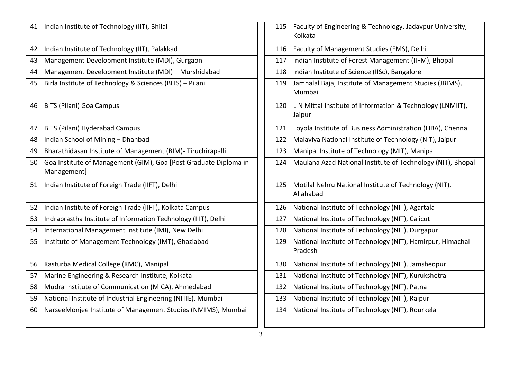| Indian Institute of Technology (IIT), Bhilai                                    | 115 | Faculty of Engineering & Technology, Jadavpur University,<br>Kolkata  |
|---------------------------------------------------------------------------------|-----|-----------------------------------------------------------------------|
| Indian Institute of Technology (IIT), Palakkad                                  | 116 | Faculty of Management Studies (FMS), Delhi                            |
| Management Development Institute (MDI), Gurgaon                                 | 117 | Indian Institute of Forest Management (IIFM), Bhopal                  |
| Management Development Institute (MDI) - Murshidabad                            | 118 | Indian Institute of Science (IISc), Bangalore                         |
| Birla Institute of Technology & Sciences (BITS) - Pilani                        | 119 | Jamnalal Bajaj Institute of Management Studies (JBIMS),<br>Mumbai     |
| <b>BITS (Pilani) Goa Campus</b>                                                 | 120 | L N Mittal Institute of Information & Technology (LNMIIT),<br>Jaipur  |
| <b>BITS (Pilani) Hyderabad Campus</b>                                           | 121 | Loyola Institute of Business Administration (LIBA), Chennai           |
| Indian School of Mining - Dhanbad                                               | 122 | Malaviya National Institute of Technology (NIT), Jaipur               |
| Bharathidasan Institute of Management (BIM)- Tiruchirapalli                     | 123 | Manipal Institute of Technology (MIT), Manipal                        |
| Goa Institute of Management (GIM), Goa [Post Graduate Diploma in<br>Management] | 124 | Maulana Azad National Institute of Technology (NIT), Bhopa            |
| Indian Institute of Foreign Trade (IIFT), Delhi                                 | 125 | Motilal Nehru National Institute of Technology (NIT),<br>Allahabad    |
| Indian Institute of Foreign Trade (IIFT), Kolkata Campus                        | 126 | National Institute of Technology (NIT), Agartala                      |
| Indraprastha Institute of Information Technology (IIIT), Delhi                  | 127 | National Institute of Technology (NIT), Calicut                       |
| International Management Institute (IMI), New Delhi                             | 128 | National Institute of Technology (NIT), Durgapur                      |
| Institute of Management Technology (IMT), Ghaziabad                             | 129 | National Institute of Technology (NIT), Hamirpur, Himachal<br>Pradesh |
| Kasturba Medical College (KMC), Manipal                                         | 130 | National Institute of Technology (NIT), Jamshedpur                    |
| Marine Engineering & Research Institute, Kolkata                                | 131 | National Institute of Technology (NIT), Kurukshetra                   |
| Mudra Institute of Communication (MICA), Ahmedabad                              | 132 | National Institute of Technology (NIT), Patna                         |
| National Institute of Industrial Engineering (NITIE), Mumbai                    | 133 | National Institute of Technology (NIT), Raipur                        |
| NarseeMonjee Institute of Management Studies (NMIMS), Mumbai                    | 134 | National Institute of Technology (NIT), Rourkela                      |
|                                                                                 |     |                                                                       |

| 115 | Faculty of Engineering & Technology, Jadavpur University,<br>Kolkata  |
|-----|-----------------------------------------------------------------------|
| 116 | Faculty of Management Studies (FMS), Delhi                            |
| 117 | Indian Institute of Forest Management (IIFM), Bhopal                  |
| 118 | Indian Institute of Science (IISc), Bangalore                         |
| 119 | Jamnalal Bajaj Institute of Management Studies (JBIMS),<br>Mumbai     |
| 120 | L N Mittal Institute of Information & Technology (LNMIIT),<br>Jaipur  |
| 121 | Loyola Institute of Business Administration (LIBA), Chennai           |
| 122 | Malaviya National Institute of Technology (NIT), Jaipur               |
| 123 | Manipal Institute of Technology (MIT), Manipal                        |
| 124 | Maulana Azad National Institute of Technology (NIT), Bhopal           |
| 125 | Motilal Nehru National Institute of Technology (NIT),<br>Allahabad    |
| 126 | National Institute of Technology (NIT), Agartala                      |
| 127 | National Institute of Technology (NIT), Calicut                       |
| 128 | National Institute of Technology (NIT), Durgapur                      |
| 129 | National Institute of Technology (NIT), Hamirpur, Himachal<br>Pradesh |
| 130 | National Institute of Technology (NIT), Jamshedpur                    |
| 131 | National Institute of Technology (NIT), Kurukshetra                   |
| 132 | National Institute of Technology (NIT), Patna                         |
| 133 | National Institute of Technology (NIT), Raipur                        |
| 134 | National Institute of Technology (NIT), Rourkela                      |